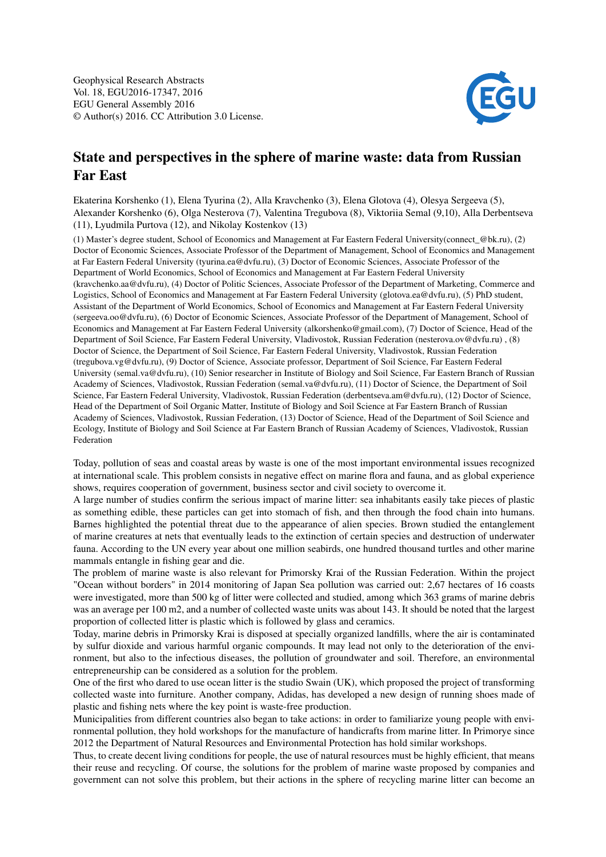

## State and perspectives in the sphere of marine waste: data from Russian Far East

Ekaterina Korshenko (1), Elena Tyurina (2), Alla Kravchenko (3), Elena Glotova (4), Olesya Sergeeva (5), Alexander Korshenko (6), Olga Nesterova (7), Valentina Tregubova (8), Viktoriia Semal (9,10), Alla Derbentseva (11), Lyudmila Purtova (12), and Nikolay Kostenkov (13)

(1) Master's degree student, School of Economics and Management at Far Eastern Federal University(connect\_@bk.ru), (2) Doctor of Economic Sciences, Associate Professor of the Department of Management, School of Economics and Management at Far Eastern Federal University (tyurina.ea@dvfu.ru), (3) Doctor of Economic Sciences, Associate Professor of the Department of World Economics, School of Economics and Management at Far Eastern Federal University (kravchenko.aa@dvfu.ru), (4) Doctor of Politic Sciences, Associate Professor of the Department of Marketing, Commerce and Logistics, School of Economics and Management at Far Eastern Federal University (glotova.ea@dvfu.ru), (5) PhD student, Assistant of the Department of World Economics, School of Economics and Management at Far Eastern Federal University (sergeeva.oo@dvfu.ru), (6) Doctor of Economic Sciences, Associate Professor of the Department of Management, School of Economics and Management at Far Eastern Federal University (alkorshenko@gmail.com), (7) Doctor of Science, Head of the Department of Soil Science, Far Eastern Federal University, Vladivostok, Russian Federation (nesterova.ov@dvfu.ru) , (8) Doctor of Science, the Department of Soil Science, Far Eastern Federal University, Vladivostok, Russian Federation (tregubova.vg@dvfu.ru), (9) Doctor of Science, Associate professor, Department of Soil Science, Far Eastern Federal University (semal.va@dvfu.ru), (10) Senior researcher in Institute of Biology and Soil Science, Far Eastern Branch of Russian Academy of Sciences, Vladivostok, Russian Federation (semal.va@dvfu.ru), (11) Doctor of Science, the Department of Soil Science, Far Eastern Federal University, Vladivostok, Russian Federation (derbentseva.am@dvfu.ru), (12) Doctor of Science, Head of the Department of Soil Organic Matter, Institute of Biology and Soil Science at Far Eastern Branch of Russian Academy of Sciences, Vladivostok, Russian Federation, (13) Doctor of Science, Head of the Department of Soil Science and Ecology, Institute of Biology and Soil Science at Far Eastern Branch of Russian Academy of Sciences, Vladivostok, Russian Federation

Today, pollution of seas and coastal areas by waste is one of the most important environmental issues recognized at international scale. This problem consists in negative effect on marine flora and fauna, and as global experience shows, requires cooperation of government, business sector and civil society to overcome it.

A large number of studies confirm the serious impact of marine litter: sea inhabitants easily take pieces of plastic as something edible, these particles can get into stomach of fish, and then through the food chain into humans. Barnes highlighted the potential threat due to the appearance of alien species. Brown studied the entanglement of marine creatures at nets that eventually leads to the extinction of certain species and destruction of underwater fauna. According to the UN every year about one million seabirds, one hundred thousand turtles and other marine mammals entangle in fishing gear and die.

The problem of marine waste is also relevant for Primorsky Krai of the Russian Federation. Within the project "Ocean without borders" in 2014 monitoring of Japan Sea pollution was carried out: 2,67 hectares of 16 coasts were investigated, more than 500 kg of litter were collected and studied, among which 363 grams of marine debris was an average per 100 m2, and a number of collected waste units was about 143. It should be noted that the largest proportion of collected litter is plastic which is followed by glass and ceramics.

Today, marine debris in Primorsky Krai is disposed at specially organized landfills, where the air is contaminated by sulfur dioxide and various harmful organic compounds. It may lead not only to the deterioration of the environment, but also to the infectious diseases, the pollution of groundwater and soil. Therefore, an environmental entrepreneurship can be considered as a solution for the problem.

One of the first who dared to use ocean litter is the studio Swain (UK), which proposed the project of transforming collected waste into furniture. Another company, Adidas, has developed a new design of running shoes made of plastic and fishing nets where the key point is waste-free production.

Municipalities from different countries also began to take actions: in order to familiarize young people with environmental pollution, they hold workshops for the manufacture of handicrafts from marine litter. In Primorye since 2012 the Department of Natural Resources and Environmental Protection has hold similar workshops.

Thus, to create decent living conditions for people, the use of natural resources must be highly efficient, that means their reuse and recycling. Of course, the solutions for the problem of marine waste proposed by companies and government can not solve this problem, but their actions in the sphere of recycling marine litter can become an